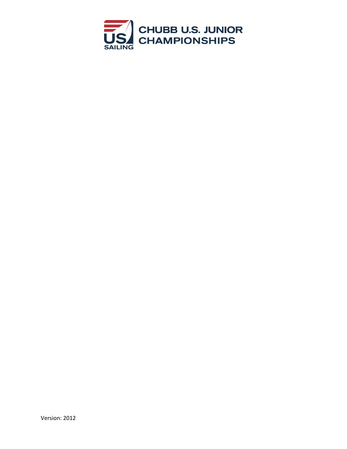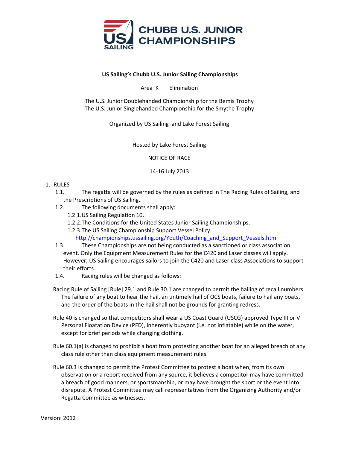

## **US Sailing's Chubb U.S. Junior Sailing Championships**

Area K Elimination

The U.S. Junior Doublehanded Championship for the Bemis Trophy The U.S. Junior Singlehanded Championship for the Smythe Trophy

Organized by US Sailing and Lake Forest Sailing

Hosted by Lake Forest Sailing

NOTICE OF RACE

14-16 July 2013

# 1. RULES

- 1.1. The regatta will be governed by the rules as defined in The Racing Rules of Sailing, and the Prescriptions of US Sailing.
- 1.2. The following documents shall apply:
	- 1.2.1.US Sailing Regulation 10.
	- 1.2.2.The Conditions for the United States Junior Sailing Championships.
	- 1.2.3.The US Sailing Championship Support Vessel Policy.

[http://championships.ussailing.org/Youth/Coaching\\_and\\_Support\\_Vessels.htm](http://championships.ussailing.org/Youth/Coaching_and_Support_Vessels.htm)

- 1.3. These Championships are not being conducted as a sanctioned or class association event. Only the Equipment Measurement Rules for the C420 and Laser classes will apply. However, US Sailing encourages sailors to join the C420 and Laser class Associations to support their efforts.
- 1.4. Racing rules will be changed as follows:
- Racing Rule of Sailing [Rule] 29.1 and Rule 30.1 are changed to permit the hailing of recall numbers. The failure of any boat to hear the hail, an untimely hail of OCS boats, failure to hail any boats, and the order of the boats in the hail shall not be grounds for granting redress.
- Rule 40 is changed so that competitors shall wear a US Coast Guard (USCG) approved Type III or V Personal Floatation Device (PFD), inherently buoyant (i.e. not inflatable) while on the water, except for brief periods while changing clothing.
- Rule 60.1(a) is changed to prohibit a boat from protesting another boat for an alleged breach of any class rule other than class equipment measurement rules.
- Rule 60.3 is changed to permit the Protest Committee to protest a boat when, from its own observation or a report received from any source, it believes a competitor may have committed a breach of good manners, or sportsmanship, or may have brought the sport or the event into disrepute. A Protest Committee may call representatives from the Organizing Authority and/or Regatta Committee as witnesses.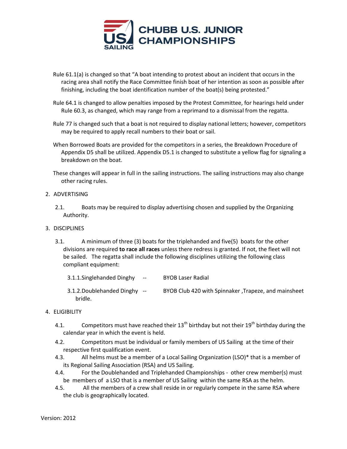

- Rule 61.1(a) is changed so that "A boat intending to protest about an incident that occurs in the racing area shall notify the Race Committee finish boat of her intention as soon as possible after finishing, including the boat identification number of the boat(s) being protested."
- Rule 64.1 is changed to allow penalties imposed by the Protest Committee, for hearings held under Rule 60.3, as changed, which may range from a reprimand to a dismissal from the regatta.
- Rule 77 is changed such that a boat is not required to display national letters; however, competitors may be required to apply recall numbers to their boat or sail.
- When Borrowed Boats are provided for the competitors in a series, the Breakdown Procedure of Appendix D5 shall be utilized. Appendix D5.1 is changed to substitute a yellow flag for signaling a breakdown on the boat.

These changes will appear in full in the sailing instructions. The sailing instructions may also change other racing rules.

# 2. ADVERTISING

2.1. Boats may be required to display advertising chosen and supplied by the Organizing Authority.

## 3. DISCIPLINES

- 3.1. A minimum of three (3) boats for the triplehanded and five(5) boats for the other divisions are required **to race all races** unless there redress is granted. If not, the fleet will not be sailed. The regatta shall include the following disciplines utilizing the following class compliant equipment:
	- 3.1.1.Singlehanded Dinghy -- BYOB Laser Radial
	- 3.1.2.Doublehanded Dinghy -- BYOB Club 420 with Spinnaker ,Trapeze, and mainsheet bridle.

## 4. ELIGIBILITY

- 4.1. Competitors must have reached their  $13^{th}$  birthday but not their  $19^{th}$  birthday during the calendar year in which the event is held.
- 4.2. Competitors must be individual or family members of US Sailing at the time of their respective first qualification event.
- 4.3. All helms must be a member of a Local Sailing Organization (LSO)\* that is a member of its Regional Sailing Association (RSA) and US Sailing.
- 4.4. For the Doublehanded and Triplehanded Championships other crew member(s) must be members of a LSO that is a member of US Sailing within the same RSA as the helm.
- 4.5. All the members of a crew shall reside in or regularly compete in the same RSA where the club is geographically located.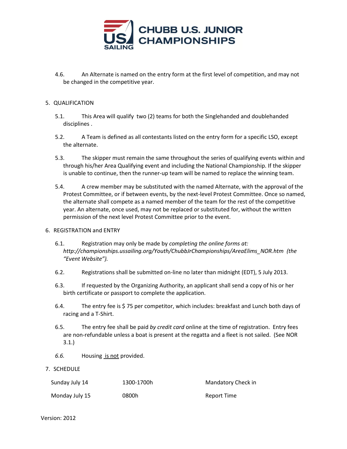

4.6. An Alternate is named on the entry form at the first level of competition, and may not be changed in the competitive year.

## 5. QUALIFICATION

- 5.1. This Area will qualify two (2) teams for both the Singlehanded and doublehanded disciplines .
- 5.2. A Team is defined as all contestants listed on the entry form for a specific LSO, except the alternate.
- 5.3. The skipper must remain the same throughout the series of qualifying events within and through his/her Area Qualifying event and including the National Championship. If the skipper is unable to continue, then the runner-up team will be named to replace the winning team.
- 5.4. A crew member may be substituted with the named Alternate, with the approval of the Protest Committee, or if between events, by the next-level Protest Committee. Once so named, the alternate shall compete as a named member of the team for the rest of the competitive year. An alternate, once used, may not be replaced or substituted for, without the written permission of the next level Protest Committee prior to the event.
- 6. REGISTRATION and ENTRY
	- 6.1. Registration may only be made by *completing the online forms at: http://championships.ussailing.org/Youth/ChubbJrChampionships/AreaElims\_NOR.htm (the "Event Website").*
	- 6.2. Registrations shall be submitted on-line no later than midnight (EDT), 5 July 2013.
	- 6.3. If requested by the Organizing Authority, an applicant shall send a copy of his or her birth certificate or passport to complete the application.
	- 6.4. The entry fee is \$ 75 per competitor, which includes: breakfast and Lunch both days of racing and a T-Shirt.
	- 6.5. The entry fee shall be paid *by credit card* online at the time of registration. Entry fees are non-refundable unless a boat is present at the regatta and a fleet is not sailed. (See NOR 3.1.)
	- *6.6.* Housing is not provided.
- 7. SCHEDULE

| Sunday July 14 | 1300-1700h | Mandatory Check in |
|----------------|------------|--------------------|
| Monday July 15 | 0800h      | Report Time        |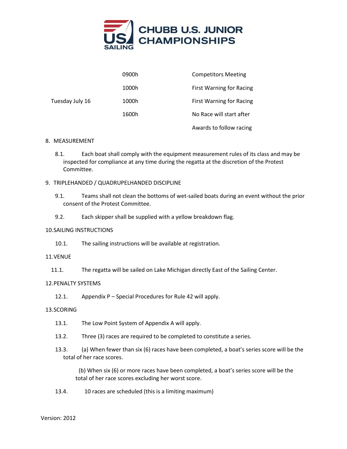

|                 | 0900h | <b>Competitors Meeting</b>      |
|-----------------|-------|---------------------------------|
|                 | 1000h | <b>First Warning for Racing</b> |
| Tuesday July 16 | 1000h | <b>First Warning for Racing</b> |
|                 | 1600h | No Race will start after        |
|                 |       | Awards to follow racing         |

### 8. MEASUREMENT

- 8.1. Each boat shall comply with the equipment measurement rules of its class and may be inspected for compliance at any time during the regatta at the discretion of the Protest Committee.
- 9. TRIPLEHANDED / QUADRUPELHANDED DISCIPLINE
	- 9.1. Teams shall not clean the bottoms of wet-sailed boats during an event without the prior consent of the Protest Committee.
	- 9.2. Each skipper shall be supplied with a yellow breakdown flag.

#### 10.SAILING INSTRUCTIONS

10.1. The sailing instructions will be available at registration.

### 11.VENUE

11.1. The regatta will be sailed on Lake Michigan directly East of the Sailing Center.

#### 12.PENALTY SYSTEMS

12.1. Appendix P – Special Procedures for Rule 42 will apply.

#### 13.SCORING

- 13.1. The Low Point System of Appendix A will apply.
- 13.2. Three (3) races are required to be completed to constitute a series.
- 13.3. (a) When fewer than six (6) races have been completed, a boat's series score will be the total of her race scores.

 (b) When six (6) or more races have been completed, a boat's series score will be the total of her race scores excluding her worst score.

13.4. 10 races are scheduled (this is a limiting maximum)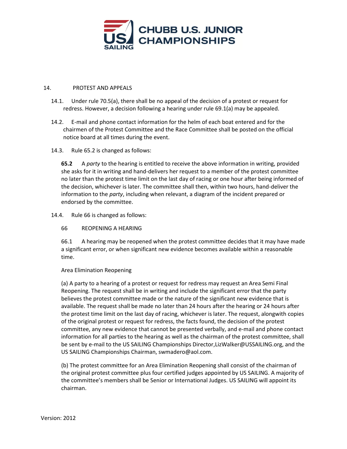

## 14. PROTEST AND APPEALS

- 14.1. Under rule 70.5(a), there shall be no appeal of the decision of a protest or request for redress. However, a decision following a hearing under rule 69.1(a) may be appealed.
- 14.2. E-mail and phone contact information for the helm of each boat entered and for the chairmen of the Protest Committee and the Race Committee shall be posted on the official notice board at all times during the event.

### 14.3. Rule 65.2 is changed as follows:

**65.2** A *party* to the hearing is entitled to receive the above information in writing, provided she asks for it in writing and hand-delivers her request to a member of the protest committee no later than the protest time limit on the last day of racing or one hour after being informed of the decision, whichever is later. The committee shall then, within two hours, hand-deliver the information to the *party*, including when relevant, a diagram of the incident prepared or endorsed by the committee.

### 14.4. Rule 66 is changed as follows:

## 66 REOPENING A HEARING

66.1 A hearing may be reopened when the protest committee decides that it may have made a significant error, or when significant new evidence becomes available within a reasonable time.

## Area Elimination Reopening

(a) A party to a hearing of a protest or request for redress may request an Area Semi Final Reopening. The request shall be in writing and include the significant error that the party believes the protest committee made or the nature of the significant new evidence that is available. The request shall be made no later than 24 hours after the hearing or 24 hours after the protest time limit on the last day of racing, whichever is later. The request, alongwith copies of the original protest or request for redress, the facts found, the decision of the protest committee, any new evidence that cannot be presented verbally, and e‐mail and phone contact information for all parties to the hearing as well as the chairman of the protest committee, shall be sent by e‐mail to the US SAILING Championships Director,LizWalker@USSAILING.org, and the US SAILING Championships Chairman, swmadero@aol.com.

(b) The protest committee for an Area Elimination Reopening shall consist of the chairman of the original protest committee plus four certified judges appointed by US SAILING. A majority of the committee's members shall be Senior or International Judges. US SAILING will appoint its chairman.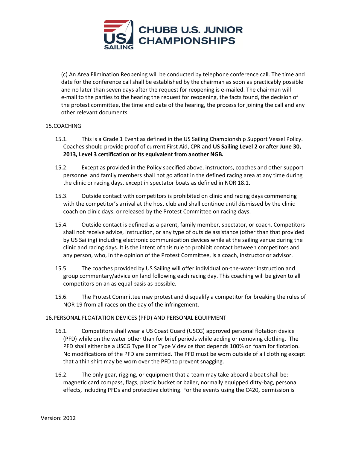

(c) An Area Elimination Reopening will be conducted by telephone conference call. The time and date for the conference call shall be established by the chairman as soon as practicably possible and no later than seven days after the request for reopening is e‐mailed. The chairman will e‐mail to the parties to the hearing the request for reopening, the facts found, the decision of the protest committee, the time and date of the hearing, the process for joining the call and any other relevant documents.

# 15.COACHING

- 15.1. This is a Grade 1 Event as defined in the US Sailing Championship Support Vessel Policy. Coaches should provide proof of current First Aid, CPR and **US Sailing Level 2 or after June 30, 2013, Level 3 certification or its equivalent from another NGB.**
- 15.2. Except as provided in the Policy specified above, instructors, coaches and other support personnel and family members shall not go afloat in the defined racing area at any time during the clinic or racing days, except in spectator boats as defined in NOR 18.1.
- 15.3. Outside contact with competitors is prohibited on clinic and racing days commencing with the competitor's arrival at the host club and shall continue until dismissed by the clinic coach on clinic days, or released by the Protest Committee on racing days.
- 15.4. Outside contact is defined as a parent, family member, spectator, or coach. Competitors shall not receive advice, instruction, or any type of outside assistance (other than that provided by US Sailing) including electronic communication devices while at the sailing venue during the clinic and racing days. It is the intent of this rule to prohibit contact between competitors and any person, who, in the opinion of the Protest Committee, is a coach, instructor or advisor.
- 15.5. The coaches provided by US Sailing will offer individual on-the-water instruction and group commentary/advice on land following each racing day. This coaching will be given to all competitors on an as equal basis as possible.
- 15.6. The Protest Committee may protest and disqualify a competitor for breaking the rules of NOR 19 from all races on the day of the infringement.

## 16.PERSONAL FLOATATION DEVICES (PFD) AND PERSONAL EQUIPMENT

- 16.1. Competitors shall wear a US Coast Guard (USCG) approved personal flotation device (PFD) while on the water other than for brief periods while adding or removing clothing. The PFD shall either be a USCG Type III or Type V device that depends 100% on foam for flotation. No modifications of the PFD are permitted. The PFD must be worn outside of all clothing except that a thin shirt may be worn over the PFD to prevent snagging.
- 16.2. The only gear, rigging, or equipment that a team may take aboard a boat shall be: magnetic card compass, flags, plastic bucket or bailer, normally equipped ditty-bag, personal effects, including PFDs and protective clothing. For the events using the C420, permission is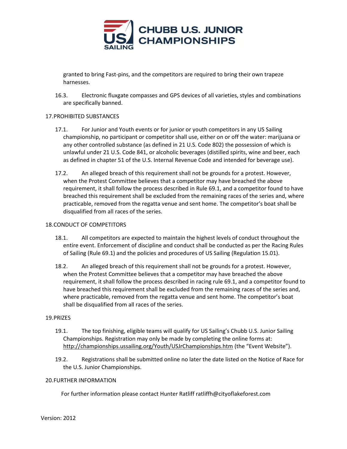

granted to bring Fast-pins, and the competitors are required to bring their own trapeze harnesses.

16.3. Electronic fluxgate compasses and GPS devices of all varieties, styles and combinations are specifically banned.

## 17.PROHIBITED SUBSTANCES

- 17.1. For Junior and Youth events or for junior or youth competitors in any US Sailing championship, no participant or competitor shall use, either on or off the water: marijuana or any other controlled substance (as defined in 21 U.S. Code 802) the possession of which is unlawful under 21 U.S. Code 841, or alcoholic beverages (distilled spirits, wine and beer, each as defined in chapter 51 of the U.S. Internal Revenue Code and intended for beverage use).
- 17.2. An alleged breach of this requirement shall not be grounds for a protest. However, when the Protest Committee believes that a competitor may have breached the above requirement, it shall follow the process described in Rule 69.1, and a competitor found to have breached this requirement shall be excluded from the remaining races of the series and, where practicable, removed from the regatta venue and sent home. The competitor's boat shall be disqualified from all races of the series.

## 18.CONDUCT OF COMPETITORS

- 18.1. All competitors are expected to maintain the highest levels of conduct throughout the entire event. Enforcement of discipline and conduct shall be conducted as per the Racing Rules of Sailing (Rule 69.1) and the policies and procedures of US Sailing (Regulation 15.01).
- 18.2. An alleged breach of this requirement shall not be grounds for a protest. However, when the Protest Committee believes that a competitor may have breached the above requirement, it shall follow the process described in racing rule 69.1, and a competitor found to have breached this requirement shall be excluded from the remaining races of the series and, where practicable, removed from the regatta venue and sent home. The competitor's boat shall be disqualified from all races of the series.

## 19.PRIZES

- 19.1. The top finishing, eligible teams will qualify for US Sailing's Chubb U.S. Junior Sailing Championships. Registration may only be made by completing the online forms at: <http://championships.ussailing.org/Youth/USJrChampionships.htm> (the "Event Website").
- 19.2. Registrations shall be submitted online no later the date listed on the Notice of Race for the U.S. Junior Championships.

#### 20.FURTHER INFORMATION

For further information please contact Hunter Ratliff ratliffh@cityoflakeforest.com